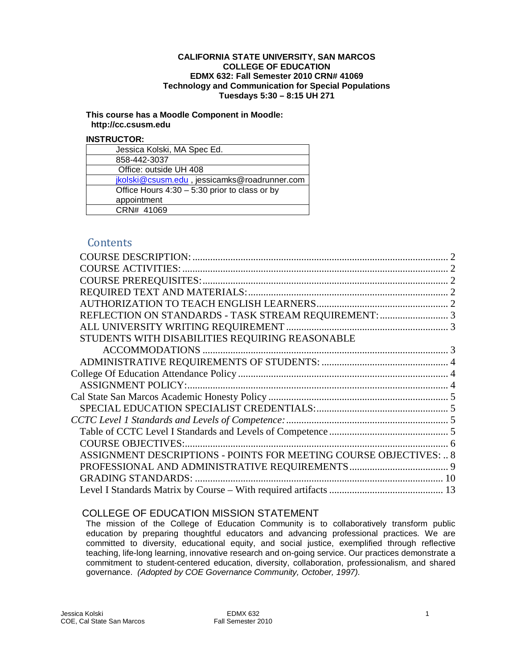#### **CALIFORNIA STATE UNIVERSITY, SAN MARCOS COLLEGE OF EDUCATION EDMX 632: Fall Semester 2010 CRN# 41069 Technology and Communication for Special Populations Tuesdays 5:30 – 8:15 UH 271**

#### **This course has a Moodle Component in Moodle: http://cc.csusm.edu**

#### **INSTRUCTOR:**

| Jessica Kolski, MA Spec Ed.                     |
|-------------------------------------------------|
| 858-442-3037                                    |
| Office: outside UH 408                          |
| jkolski@csusm.edu, jessicamks@roadrunner.com    |
| Office Hours $4:30 - 5:30$ prior to class or by |
| appointment                                     |
| CRN# 41069                                      |

# **Contents**

| STUDENTS WITH DISABILITIES REQUIRING REASONABLE                    |  |
|--------------------------------------------------------------------|--|
|                                                                    |  |
|                                                                    |  |
|                                                                    |  |
|                                                                    |  |
|                                                                    |  |
|                                                                    |  |
|                                                                    |  |
|                                                                    |  |
| <b>COURSE OBJECTIVES:</b>                                          |  |
| ASSIGNMENT DESCRIPTIONS - POINTS FOR MEETING COURSE OBJECTIVES:  8 |  |
|                                                                    |  |
| <b>GRADING STANDARDS:</b>                                          |  |
|                                                                    |  |

# COLLEGE OF EDUCATION MISSION STATEMENT

The mission of the College of Education Community is to collaboratively transform public education by preparing thoughtful educators and advancing professional practices. We are committed to diversity, educational equity, and social justice, exemplified through reflective teaching, life-long learning, innovative research and on-going service. Our practices demonstrate a commitment to student-centered education, diversity, collaboration, professionalism, and shared governance. *(Adopted by COE Governance Community, October, 1997).*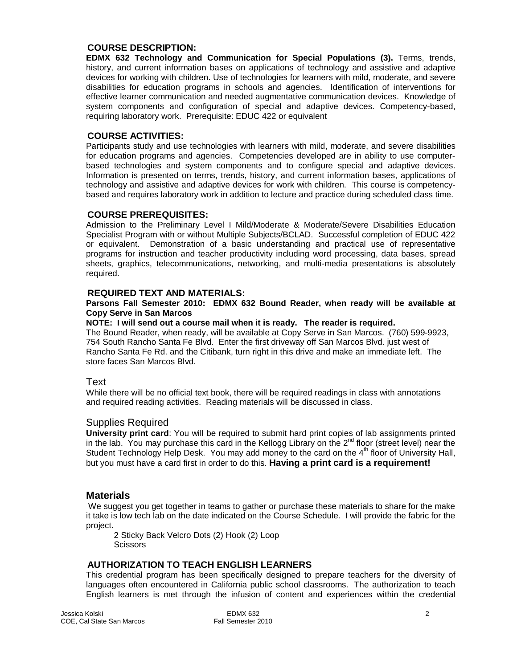#### <span id="page-1-0"></span>**COURSE DESCRIPTION:**

**EDMX 632 Technology and Communication for Special Populations (3).** Terms, trends, history, and current information bases on applications of technology and assistive and adaptive devices for working with children. Use of technologies for learners with mild, moderate, and severe disabilities for education programs in schools and agencies. Identification of interventions for effective learner communication and needed augmentative communication devices. Knowledge of system components and configuration of special and adaptive devices. Competency-based, requiring laboratory work. Prerequisite: EDUC 422 or equivalent

#### <span id="page-1-1"></span>**COURSE ACTIVITIES:**

Participants study and use technologies with learners with mild, moderate, and severe disabilities for education programs and agencies. Competencies developed are in ability to use computerbased technologies and system components and to configure special and adaptive devices. Information is presented on terms, trends, history, and current information bases, applications of technology and assistive and adaptive devices for work with children. This course is competencybased and requires laboratory work in addition to lecture and practice during scheduled class time.

#### <span id="page-1-2"></span>**COURSE PREREQUISITES:**

Admission to the Preliminary Level I Mild/Moderate & Moderate/Severe Disabilities Education Specialist Program with or without Multiple Subjects/BCLAD. Successful completion of EDUC 422 or equivalent. Demonstration of a basic understanding and practical use of representative programs for instruction and teacher productivity including word processing, data bases, spread sheets, graphics, telecommunications, networking, and multi-media presentations is absolutely required.

#### <span id="page-1-3"></span>**REQUIRED TEXT AND MATERIALS:**

#### **Parsons Fall Semester 2010: EDMX 632 Bound Reader, when ready will be available at Copy Serve in San Marcos**

#### **NOTE: I will send out a course mail when it is ready. The reader is required.**

The Bound Reader, when ready, will be available at Copy Serve in San Marcos. (760) 599-9923, 754 South Rancho Santa Fe Blvd. Enter the first driveway off San Marcos Blvd. just west of Rancho Santa Fe Rd. and the Citibank, turn right in this drive and make an immediate left. The store faces San Marcos Blvd.

Text<br>While there will be no official text book, there will be required readings in class with annotations and required reading activities. Reading materials will be discussed in class.

#### Supplies Required

**University print card**: You will be required to submit hard print copies of lab assignments printed in the lab. You may purchase this card in the Kellogg Library on the  $2^{nd}$  floor (street level) near the Student Technology Help Desk. You may add money to the card on the 4<sup>th</sup> floor of University Hall, but you must have a card first in order to do this. **Having a print card is a requirement!**

#### **Materials**

We suggest you get together in teams to gather or purchase these materials to share for the make it take is low tech lab on the date indicated on the Course Schedule. I will provide the fabric for the project.

2 Sticky Back Velcro Dots (2) Hook (2) Loop **Scissors** 

#### <span id="page-1-4"></span>**AUTHORIZATION TO TEACH ENGLISH LEARNERS**

This credential program has been specifically designed to prepare teachers for the diversity of languages often encountered in California public school classrooms. The authorization to teach English learners is met through the infusion of content and experiences within the credential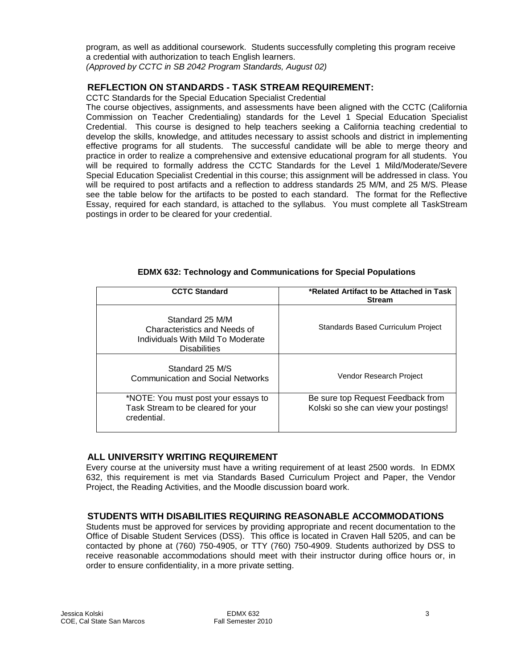program, as well as additional coursework. Students successfully completing this program receive a credential with authorization to teach English learners.

*(Approved by CCTC in SB 2042 Program Standards, August 02)*

## <span id="page-2-0"></span>**REFLECTION ON STANDARDS - TASK STREAM REQUIREMENT:**

CCTC Standards for the Special Education Specialist Credential

The course objectives, assignments, and assessments have been aligned with the CCTC (California Commission on Teacher Credentialing) standards for the Level 1 Special Education Specialist Credential. This course is designed to help teachers seeking a California teaching credential to develop the skills, knowledge, and attitudes necessary to assist schools and district in implementing effective programs for all students. The successful candidate will be able to merge theory and practice in order to realize a comprehensive and extensive educational program for all students. You will be required to formally address the CCTC Standards for the Level 1 Mild/Moderate/Severe Special Education Specialist Credential in this course; this assignment will be addressed in class. You will be required to post artifacts and a reflection to address standards 25 M/M, and 25 M/S. Please see the table below for the artifacts to be posted to each standard. The format for the Reflective Essay, required for each standard, is attached to the syllabus. You must complete all TaskStream postings in order to be cleared for your credential.

| <b>CCTC Standard</b>                                                                                        | *Related Artifact to be Attached in Task<br><b>Stream</b>                  |  |  |  |
|-------------------------------------------------------------------------------------------------------------|----------------------------------------------------------------------------|--|--|--|
| Standard 25 M/M<br>Characteristics and Needs of<br>Individuals With Mild To Moderate<br><b>Disabilities</b> | <b>Standards Based Curriculum Project</b>                                  |  |  |  |
| Standard 25 M/S<br><b>Communication and Social Networks</b>                                                 | Vendor Research Project                                                    |  |  |  |
| *NOTE: You must post your essays to<br>Task Stream to be cleared for your<br>credential.                    | Be sure top Request Feedback from<br>Kolski so she can view your postings! |  |  |  |

### **EDMX 632: Technology and Communications for Special Populations**

### <span id="page-2-1"></span>**ALL UNIVERSITY WRITING REQUIREMENT**

Every course at the university must have a writing requirement of at least 2500 words. In EDMX 632, this requirement is met via Standards Based Curriculum Project and Paper, the Vendor Project, the Reading Activities, and the Moodle discussion board work.

## <span id="page-2-2"></span>**STUDENTS WITH DISABILITIES REQUIRING REASONABLE ACCOMMODATIONS**

Students must be approved for services by providing appropriate and recent documentation to the Office of Disable Student Services (DSS). This office is located in Craven Hall 5205, and can be contacted by phone at (760) 750-4905, or TTY (760) 750-4909. Students authorized by DSS to receive reasonable accommodations should meet with their instructor during office hours or, in order to ensure confidentiality, in a more private setting.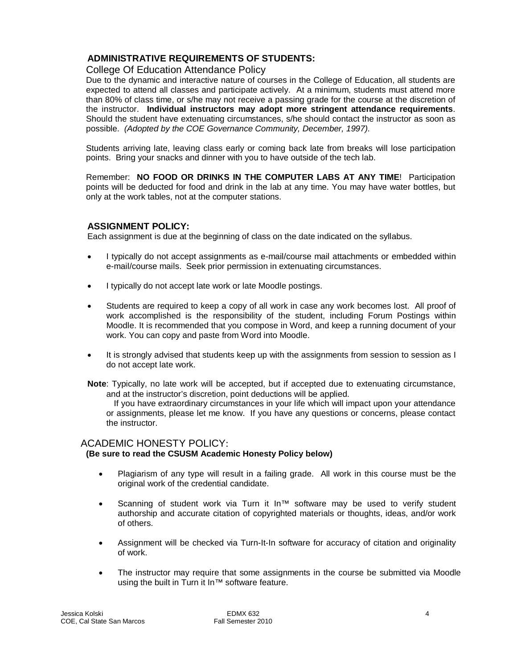## <span id="page-3-0"></span>**ADMINISTRATIVE REQUIREMENTS OF STUDENTS:**

## <span id="page-3-1"></span>College Of Education Attendance Policy

Due to the dynamic and interactive nature of courses in the College of Education, all students are expected to attend all classes and participate actively. At a minimum, students must attend more than 80% of class time, or s/he may not receive a passing grade for the course at the discretion of the instructor. **Individual instructors may adopt more stringent attendance requirements**. Should the student have extenuating circumstances, s/he should contact the instructor as soon as possible. *(Adopted by the COE Governance Community, December, 1997).*

Students arriving late, leaving class early or coming back late from breaks will lose participation points. Bring your snacks and dinner with you to have outside of the tech lab.

Remember: **NO FOOD OR DRINKS IN THE COMPUTER LABS AT ANY TIME**! Participation points will be deducted for food and drink in the lab at any time. You may have water bottles, but only at the work tables, not at the computer stations.

### <span id="page-3-2"></span>**ASSIGNMENT POLICY:**

Each assignment is due at the beginning of class on the date indicated on the syllabus.

- I typically do not accept assignments as e-mail/course mail attachments or embedded within e-mail/course mails. Seek prior permission in extenuating circumstances.
- I typically do not accept late work or late Moodle postings.
- Students are required to keep a copy of all work in case any work becomes lost. All proof of work accomplished is the responsibility of the student, including Forum Postings within Moodle. It is recommended that you compose in Word, and keep a running document of your work. You can copy and paste from Word into Moodle.
- It is strongly advised that students keep up with the assignments from session to session as I do not accept late work.

**Note**: Typically, no late work will be accepted, but if accepted due to extenuating circumstance, and at the instructor's discretion, point deductions will be applied.

If you have extraordinary circumstances in your life which will impact upon your attendance or assignments, please let me know. If you have any questions or concerns, please contact the instructor.

## ACADEMIC HONESTY POLICY:

### **(Be sure to read the CSUSM Academic Honesty Policy below)**

- Plagiarism of any type will result in a failing grade. All work in this course must be the original work of the credential candidate.
- Scanning of student work via Turn it In™ software may be used to verify student authorship and accurate citation of copyrighted materials or thoughts, ideas, and/or work of others.
- Assignment will be checked via Turn-It-In software for accuracy of citation and originality of work.
- The instructor may require that some assignments in the course be submitted via Moodle using the built in Turn it In™ software feature.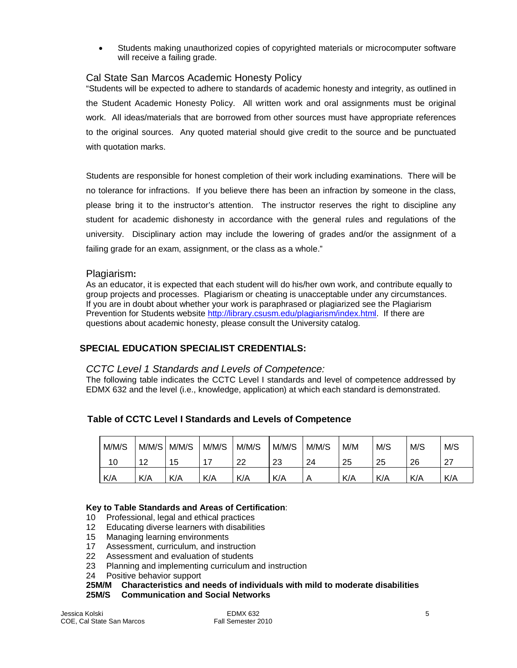• Students making unauthorized copies of copyrighted materials or microcomputer software will receive a failing grade.

# <span id="page-4-0"></span>Cal State San Marcos Academic Honesty Policy

"Students will be expected to adhere to standards of academic honesty and integrity, as outlined in the Student Academic Honesty Policy. All written work and oral assignments must be original work. All ideas/materials that are borrowed from other sources must have appropriate references to the original sources. Any quoted material should give credit to the source and be punctuated with quotation marks.

Students are responsible for honest completion of their work including examinations. There will be no tolerance for infractions. If you believe there has been an infraction by someone in the class, please bring it to the instructor's attention. The instructor reserves the right to discipline any student for academic dishonesty in accordance with the general rules and regulations of the university. Disciplinary action may include the lowering of grades and/or the assignment of a failing grade for an exam, assignment, or the class as a whole."

## Plagiarism**:**

As an educator, it is expected that each student will do his/her own work, and contribute equally to group projects and processes. Plagiarism or cheating is unacceptable under any circumstances. If you are in doubt about whether your work is paraphrased or plagiarized see the Plagiarism Prevention for Students website [http://library.csusm.edu/plagiarism/index.html.](http://library.csusm.edu/plagiarism/index.html) If there are questions about academic honesty, please consult the University catalog.

## <span id="page-4-1"></span> **SPECIAL EDUCATION SPECIALIST CREDENTIALS:**

### <span id="page-4-2"></span>*CCTC Level 1 Standards and Levels of Competence:*

The following table indicates the CCTC Level I standards and level of competence addressed by EDMX 632 and the level (i.e., knowledge, application) at which each standard is demonstrated.

<span id="page-4-3"></span>

| M/M/S | M/M/S         | M/M/S | M/M/S | M/M/S | M/M/S | M/M/S | M/M | M/S | M/S | M/S         |
|-------|---------------|-------|-------|-------|-------|-------|-----|-----|-----|-------------|
| 10    | $\sim$<br>' 4 | ט ו   | ⇁     | າາ    | 23    | 24    | 25  | 25  | 26  | - 27<br>, i |
| K/A   | K/A           | K/A   | K/A   | K/A   | K/A   | Α     | K/A | K/A | K/A | K/A         |

### **Key to Table Standards and Areas of Certification**:

- 10 Professional, legal and ethical practices
- 12 Educating diverse learners with disabilities
- 15 Managing learning environments
- 17 Assessment, curriculum, and instruction
- 22 Assessment and evaluation of students<br>23 Planning and implementing curriculum a
- Planning and implementing curriculum and instruction
- 24 Positive behavior support

## **25M/M Characteristics and needs of individuals with mild to moderate disabilities**

#### **25M/S Communication and Social Networks**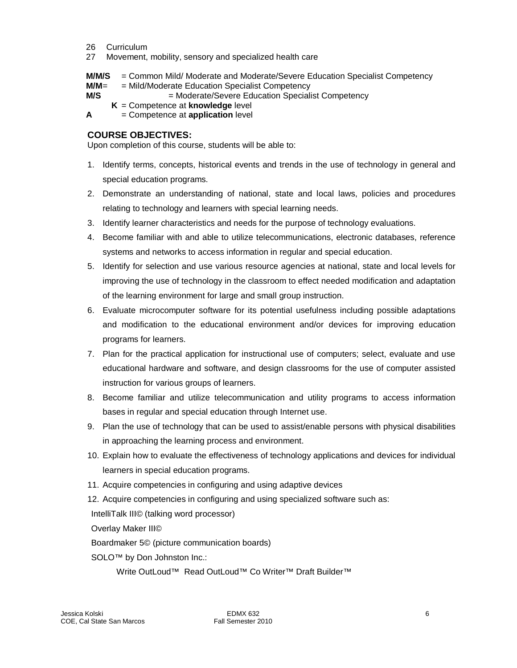- 26 Curriculum
- 27 Movement, mobility, sensory and specialized health care
- **M/M/S** = Common Mild/ Moderate and Moderate/Severe Education Specialist Competency
- **M/M**= = Mild/Moderate Education Specialist Competency
- **M/S**  $=$  Moderate/Severe Education Specialist Competency
	- **K** = Competence at **knowledge** level
- **A** = Competence at **application** level

## <span id="page-5-0"></span>**COURSE OBJECTIVES:**

Upon completion of this course, students will be able to:

- 1. Identify terms, concepts, historical events and trends in the use of technology in general and special education programs.
- 2. Demonstrate an understanding of national, state and local laws, policies and procedures relating to technology and learners with special learning needs.
- 3. Identify learner characteristics and needs for the purpose of technology evaluations.
- 4. Become familiar with and able to utilize telecommunications, electronic databases, reference systems and networks to access information in regular and special education.
- 5. Identify for selection and use various resource agencies at national, state and local levels for improving the use of technology in the classroom to effect needed modification and adaptation of the learning environment for large and small group instruction.
- 6. Evaluate microcomputer software for its potential usefulness including possible adaptations and modification to the educational environment and/or devices for improving education programs for learners.
- 7. Plan for the practical application for instructional use of computers; select, evaluate and use educational hardware and software, and design classrooms for the use of computer assisted instruction for various groups of learners.
- 8. Become familiar and utilize telecommunication and utility programs to access information bases in regular and special education through Internet use.
- 9. Plan the use of technology that can be used to assist/enable persons with physical disabilities in approaching the learning process and environment.
- 10. Explain how to evaluate the effectiveness of technology applications and devices for individual learners in special education programs.
- 11. Acquire competencies in configuring and using adaptive devices
- 12. Acquire competencies in configuring and using specialized software such as:

IntelliTalk III© (talking word processor)

Overlay Maker III©

Boardmaker 5© (picture communication boards)

SOLO<sup>™</sup> by Don Johnston Inc.:

Write OutLoud™ Read OutLoud™ Co Writer™ Draft Builder™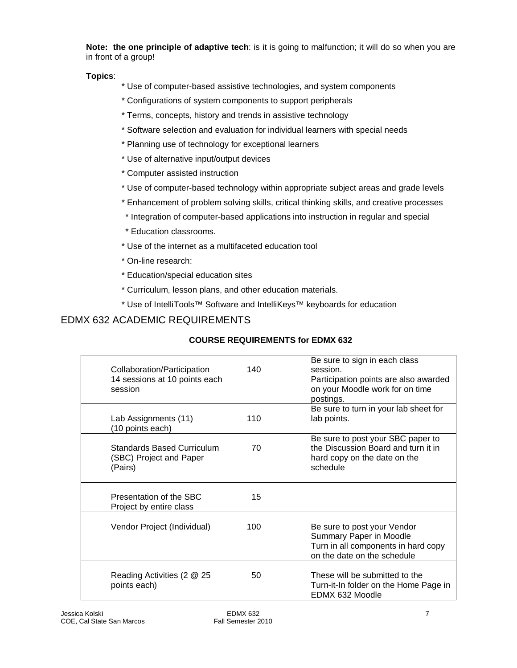**Note: the one principle of adaptive tech**: is it is going to malfunction; it will do so when you are in front of a group!

**Topics**:

- \* Use of computer-based assistive technologies, and system components
- \* Configurations of system components to support peripherals
- \* Terms, concepts, history and trends in assistive technology
- \* Software selection and evaluation for individual learners with special needs
- \* Planning use of technology for exceptional learners
- \* Use of alternative input/output devices
- \* Computer assisted instruction
- \* Use of computer-based technology within appropriate subject areas and grade levels
- \* Enhancement of problem solving skills, critical thinking skills, and creative processes
- \* Integration of computer-based applications into instruction in regular and special
- \* Education classrooms.
- \* Use of the internet as a multifaceted education tool
- \* On-line research:
- \* Education/special education sites
- \* Curriculum, lesson plans, and other education materials.
- \* Use of IntelliTools™ Software and IntelliKeys™ keyboards for education

# EDMX 632 ACADEMIC REQUIREMENTS

## **COURSE REQUIREMENTS for EDMX 632**

| Collaboration/Participation<br>14 sessions at 10 points each<br>session | 140 | Be sure to sign in each class<br>session.<br>Participation points are also awarded<br>on your Moodle work for on time<br>postings. |
|-------------------------------------------------------------------------|-----|------------------------------------------------------------------------------------------------------------------------------------|
| Lab Assignments (11)<br>(10 points each)                                | 110 | Be sure to turn in your lab sheet for<br>lab points.                                                                               |
| <b>Standards Based Curriculum</b><br>(SBC) Project and Paper<br>(Pairs) | 70  | Be sure to post your SBC paper to<br>the Discussion Board and turn it in<br>hard copy on the date on the<br>schedule               |
| Presentation of the SBC<br>Project by entire class                      | 15  |                                                                                                                                    |
| Vendor Project (Individual)                                             | 100 | Be sure to post your Vendor<br>Summary Paper in Moodle<br>Turn in all components in hard copy<br>on the date on the schedule       |
| Reading Activities (2 @ 25<br>points each)                              | 50  | These will be submitted to the<br>Turn-it-In folder on the Home Page in<br>EDMX 632 Moodle                                         |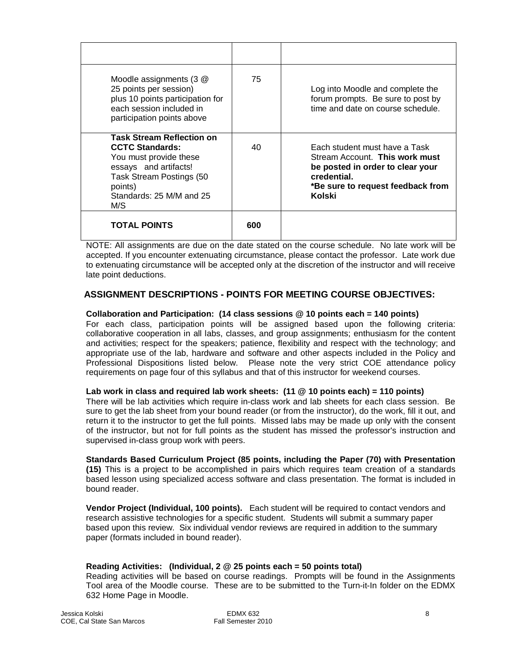| Moodle assignments $(3 \n@)$<br>25 points per session)<br>plus 10 points participation for<br>each session included in<br>participation points above                                    | 75  | Log into Moodle and complete the<br>forum prompts. Be sure to post by<br>time and date on course schedule.                                                        |
|-----------------------------------------------------------------------------------------------------------------------------------------------------------------------------------------|-----|-------------------------------------------------------------------------------------------------------------------------------------------------------------------|
| <b>Task Stream Reflection on</b><br><b>CCTC Standards:</b><br>You must provide these<br>essays and artifacts!<br>Task Stream Postings (50<br>points)<br>Standards: 25 M/M and 25<br>M/S | 40  | Each student must have a Task<br>Stream Account. This work must<br>be posted in order to clear your<br>credential.<br>*Be sure to request feedback from<br>Kolski |
| <b>TOTAL POINTS</b>                                                                                                                                                                     | 600 |                                                                                                                                                                   |

NOTE: All assignments are due on the date stated on the course schedule. No late work will be accepted. If you encounter extenuating circumstance, please contact the professor. Late work due to extenuating circumstance will be accepted only at the discretion of the instructor and will receive late point deductions.

## <span id="page-7-0"></span> **ASSIGNMENT DESCRIPTIONS - POINTS FOR MEETING COURSE OBJECTIVES:**

#### **Collaboration and Participation: (14 class sessions @ 10 points each = 140 points)**

For each class, participation points will be assigned based upon the following criteria: collaborative cooperation in all labs, classes, and group assignments; enthusiasm for the content and activities; respect for the speakers; patience, flexibility and respect with the technology; and appropriate use of the lab, hardware and software and other aspects included in the Policy and Professional Dispositions listed below. Please note the very strict COE attendance policy requirements on page four of this syllabus and that of this instructor for weekend courses.

#### **Lab work in class and required lab work sheets: (11 @ 10 points each) = 110 points)**

There will be lab activities which require in-class work and lab sheets for each class session. Be sure to get the lab sheet from your bound reader (or from the instructor), do the work, fill it out, and return it to the instructor to get the full points. Missed labs may be made up only with the consent of the instructor, but not for full points as the student has missed the professor's instruction and supervised in-class group work with peers.

#### **Standards Based Curriculum Project (85 points, including the Paper (70) with Presentation (15)** This is a project to be accomplished in pairs which requires team creation of a standards based lesson using specialized access software and class presentation. The format is included in bound reader.

**Vendor Project (Individual, 100 points).** Each student will be required to contact vendors and research assistive technologies for a specific student. Students will submit a summary paper based upon this review. Six individual vendor reviews are required in addition to the summary paper (formats included in bound reader).

## **Reading Activities: (Individual, 2 @ 25 points each = 50 points total)**

Reading activities will be based on course readings. Prompts will be found in the Assignments Tool area of the Moodle course. These are to be submitted to the Turn-it-In folder on the EDMX 632 Home Page in Moodle.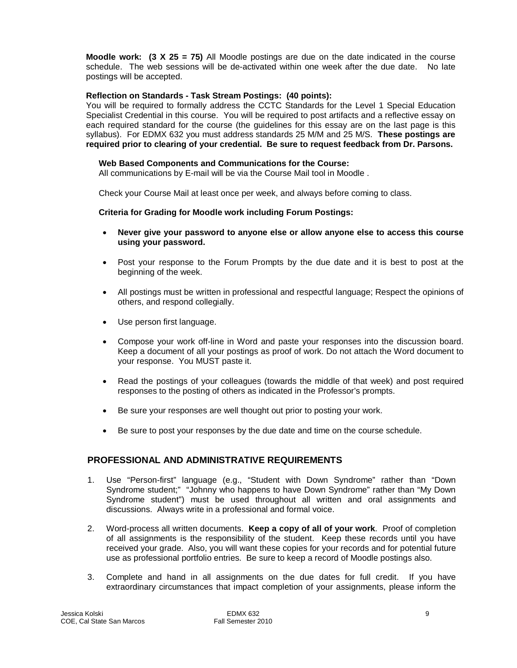**Moodle work: (3 X 25 = 75)** All Moodle postings are due on the date indicated in the course schedule. The web sessions will be de-activated within one week after the due date. No late postings will be accepted.

#### **Reflection on Standards - Task Stream Postings: (40 points):**

You will be required to formally address the CCTC Standards for the Level 1 Special Education Specialist Credential in this course. You will be required to post artifacts and a reflective essay on each required standard for the course (the guidelines for this essay are on the last page is this syllabus). For EDMX 632 you must address standards 25 M/M and 25 M/S. **These postings are required prior to clearing of your credential. Be sure to request feedback from Dr. Parsons.**

#### **Web Based Components and Communications for the Course:**

All communications by E-mail will be via the Course Mail tool in Moodle .

Check your Course Mail at least once per week, and always before coming to class.

#### **Criteria for Grading for Moodle work including Forum Postings:**

- **Never give your password to anyone else or allow anyone else to access this course using your password.**
- Post your response to the Forum Prompts by the due date and it is best to post at the beginning of the week.
- All postings must be written in professional and respectful language; Respect the opinions of others, and respond collegially.
- Use person first language.
- Compose your work off-line in Word and paste your responses into the discussion board. Keep a document of all your postings as proof of work. Do not attach the Word document to your response. You MUST paste it.
- Read the postings of your colleagues (towards the middle of that week) and post required responses to the posting of others as indicated in the Professor's prompts.
- Be sure your responses are well thought out prior to posting your work.
- Be sure to post your responses by the due date and time on the course schedule.

## <span id="page-8-0"></span>**PROFESSIONAL AND ADMINISTRATIVE REQUIREMENTS**

- 1. Use "Person-first" language (e.g., "Student with Down Syndrome" rather than "Down Syndrome student;" "Johnny who happens to have Down Syndrome" rather than "My Down Syndrome student") must be used throughout all written and oral assignments and discussions. Always write in a professional and formal voice.
- 2. Word-process all written documents. **Keep a copy of all of your work**. Proof of completion of all assignments is the responsibility of the student. Keep these records until you have received your grade. Also, you will want these copies for your records and for potential future use as professional portfolio entries. Be sure to keep a record of Moodle postings also.
- 3. Complete and hand in all assignments on the due dates for full credit. If you have extraordinary circumstances that impact completion of your assignments, please inform the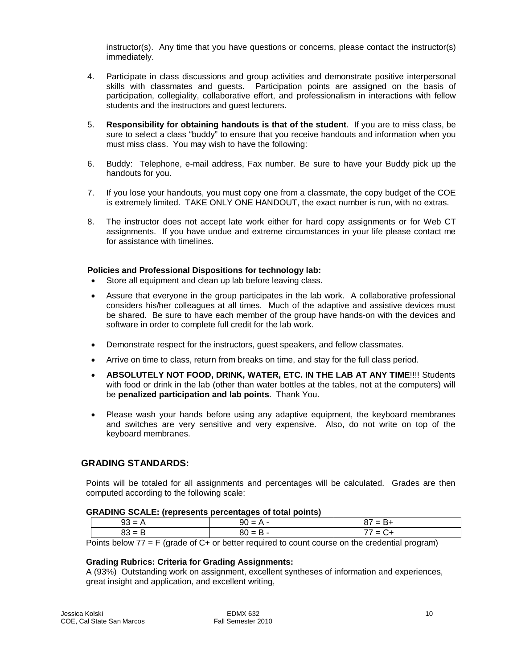instructor(s). Any time that you have questions or concerns, please contact the instructor(s) immediately.

- 4. Participate in class discussions and group activities and demonstrate positive interpersonal skills with classmates and guests. Participation points are assigned on the basis of participation, collegiality, collaborative effort, and professionalism in interactions with fellow students and the instructors and guest lecturers.
- 5. **Responsibility for obtaining handouts is that of the student**. If you are to miss class, be sure to select a class "buddy" to ensure that you receive handouts and information when you must miss class. You may wish to have the following:
- 6. Buddy: Telephone, e-mail address, Fax number. Be sure to have your Buddy pick up the handouts for you.
- 7. If you lose your handouts, you must copy one from a classmate, the copy budget of the COE is extremely limited. TAKE ONLY ONE HANDOUT, the exact number is run, with no extras.
- 8. The instructor does not accept late work either for hard copy assignments or for Web CT assignments. If you have undue and extreme circumstances in your life please contact me for assistance with timelines.

#### **Policies and Professional Dispositions for technology lab:**

- Store all equipment and clean up lab before leaving class.
- Assure that everyone in the group participates in the lab work. A collaborative professional considers his/her colleagues at all times. Much of the adaptive and assistive devices must be shared. Be sure to have each member of the group have hands-on with the devices and software in order to complete full credit for the lab work.
- Demonstrate respect for the instructors, guest speakers, and fellow classmates.
- Arrive on time to class, return from breaks on time, and stay for the full class period.
- **ABSOLUTELY NOT FOOD, DRINK, WATER, ETC. IN THE LAB AT ANY TIME**!!!! Students with food or drink in the lab (other than water bottles at the tables, not at the computers) will be **penalized participation and lab points**. Thank You.
- Please wash your hands before using any adaptive equipment, the keyboard membranes and switches are very sensitive and very expensive. Also, do not write on top of the keyboard membranes.

#### <span id="page-9-0"></span> **GRADING STANDARDS:**

Points will be totaled for all assignments and percentages will be calculated. Grades are then computed according to the following scale:

#### **GRADING SCALE: (represents percentages of total points)**

| 93 = | $=$ $\mu$<br>YU | ′ = B+ |
|------|-----------------|--------|
| 83 = | ''' = ப         | / = C+ |

Points below  $77 = F$  (grade of C+ or better required to count course on the credential program)

#### **Grading Rubrics: Criteria for Grading Assignments:**

A (93%) Outstanding work on assignment, excellent syntheses of information and experiences, great insight and application, and excellent writing,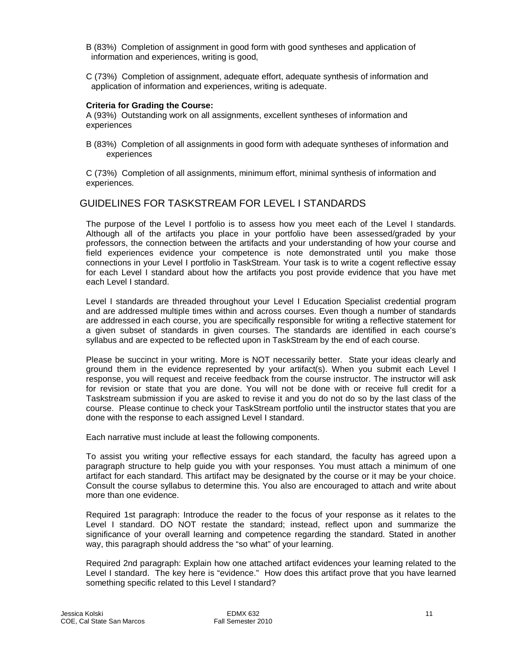- B (83%) Completion of assignment in good form with good syntheses and application of information and experiences, writing is good,
- C (73%) Completion of assignment, adequate effort, adequate synthesis of information and application of information and experiences, writing is adequate.

#### **Criteria for Grading the Course:**

A (93%) Outstanding work on all assignments, excellent syntheses of information and experiences

B (83%) Completion of all assignments in good form with adequate syntheses of information and experiences

C (73%) Completion of all assignments, minimum effort, minimal synthesis of information and experiences.

## GUIDELINES FOR TASKSTREAM FOR LEVEL I STANDARDS

The purpose of the Level I portfolio is to assess how you meet each of the Level I standards. Although all of the artifacts you place in your portfolio have been assessed/graded by your professors, the connection between the artifacts and your understanding of how your course and field experiences evidence your competence is note demonstrated until you make those connections in your Level I portfolio in TaskStream. Your task is to write a cogent reflective essay for each Level I standard about how the artifacts you post provide evidence that you have met each Level I standard.

Level I standards are threaded throughout your Level I Education Specialist credential program and are addressed multiple times within and across courses. Even though a number of standards are addressed in each course, you are specifically responsible for writing a reflective statement for a given subset of standards in given courses. The standards are identified in each course's syllabus and are expected to be reflected upon in TaskStream by the end of each course.

Please be succinct in your writing. More is NOT necessarily better. State your ideas clearly and ground them in the evidence represented by your artifact(s). When you submit each Level I response, you will request and receive feedback from the course instructor. The instructor will ask for revision or state that you are done. You will not be done with or receive full credit for a Taskstream submission if you are asked to revise it and you do not do so by the last class of the course. Please continue to check your TaskStream portfolio until the instructor states that you are done with the response to each assigned Level I standard.

Each narrative must include at least the following components.

To assist you writing your reflective essays for each standard, the faculty has agreed upon a paragraph structure to help guide you with your responses. You must attach a minimum of one artifact for each standard. This artifact may be designated by the course or it may be your choice. Consult the course syllabus to determine this. You also are encouraged to attach and write about more than one evidence.

Required 1st paragraph: Introduce the reader to the focus of your response as it relates to the Level I standard. DO NOT restate the standard; instead, reflect upon and summarize the significance of your overall learning and competence regarding the standard. Stated in another way, this paragraph should address the "so what" of your learning.

Required 2nd paragraph: Explain how one attached artifact evidences your learning related to the Level I standard. The key here is "evidence." How does this artifact prove that you have learned something specific related to this Level I standard?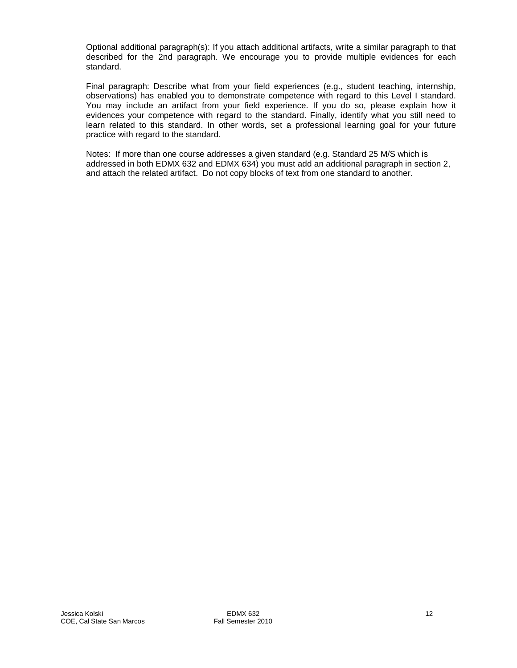Optional additional paragraph(s): If you attach additional artifacts, write a similar paragraph to that described for the 2nd paragraph. We encourage you to provide multiple evidences for each standard.

Final paragraph: Describe what from your field experiences (e.g., student teaching, internship, observations) has enabled you to demonstrate competence with regard to this Level I standard. You may include an artifact from your field experience. If you do so, please explain how it evidences your competence with regard to the standard. Finally, identify what you still need to learn related to this standard. In other words, set a professional learning goal for your future practice with regard to the standard.

Notes: If more than one course addresses a given standard (e.g. Standard 25 M/S which is addressed in both EDMX 632 and EDMX 634) you must add an additional paragraph in section 2, and attach the related artifact. Do not copy blocks of text from one standard to another.